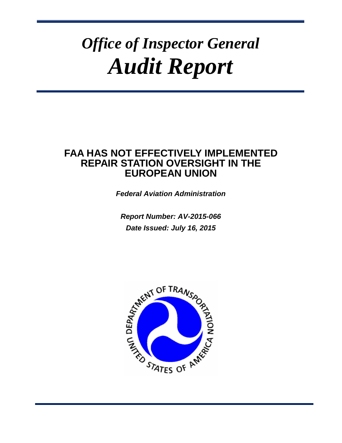# *Office of Inspector General Audit Report*

# **FAA HAS NOT EFFECTIVELY IMPLEMENTED REPAIR STATION OVERSIGHT IN THE EUROPEAN UNION**

*Federal Aviation Administration*

*Report Number: AV-2015-066 Date Issued: July 16, 2015*

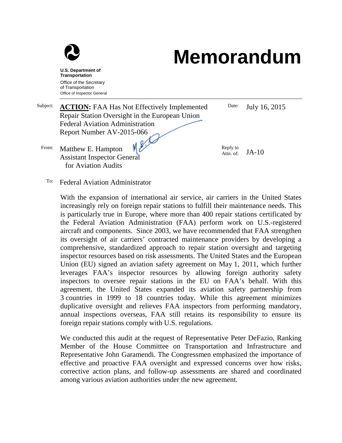

# **Memorandum**

**U.S. Department of Transportation** Office of the Secretary of Transportation Office of Inspector General

| Subject: | <b>ACTION:</b> FAA Has Not Effectively Implemented                                       | Date:                 | July 16, 2015 |  |
|----------|------------------------------------------------------------------------------------------|-----------------------|---------------|--|
|          | Repair Station Oversight in the European Union                                           |                       |               |  |
|          | <b>Federal Aviation Administration</b>                                                   |                       |               |  |
|          | Report Number AV-2015-066                                                                |                       |               |  |
| From:    | 48.10<br>Matthew E. Hampton<br><b>Assistant Inspector General</b><br>for Aviation Audits | Reply to<br>Attn. of: | $JA-10$       |  |

To: Federal Aviation Administrator

With the expansion of international air service, air carriers in the United States increasingly rely on foreign repair stations to fulfill their maintenance needs. This is particularly true in Europe, where more than 400 repair stations certificated by the Federal Aviation Administration (FAA) perform work on U.S.-registered aircraft and components. Since 2003, we have recommended that FAA strengthen its oversight of air carriers' contracted maintenance providers by developing a comprehensive, standardized approach to repair station oversight and targeting inspector resources based on risk assessments. The United States and the European Union (EU) signed an aviation safety agreement on May 1, 2011, which further leverages FAA's inspector resources by allowing foreign authority safety inspectors to oversee repair stations in the EU on FAA's behalf. With this agreement, the United States expanded its aviation safety partnership from 3 countries in 1999 to 18 countries today. While this agreement minimizes duplicative oversight and relieves FAA inspectors from performing mandatory, annual inspections overseas, FAA still retains its responsibility to ensure its foreign repair stations comply with U.S. regulations.

We conducted this audit at the request of Representative Peter DeFazio, Ranking Member of the House Committee on Transportation and Infrastructure and Representative John Garamendi. The Congressmen emphasized the importance of effective and proactive FAA oversight and expressed concerns over how risks, corrective action plans, and follow-up assessments are shared and coordinated among various aviation authorities under the new agreement.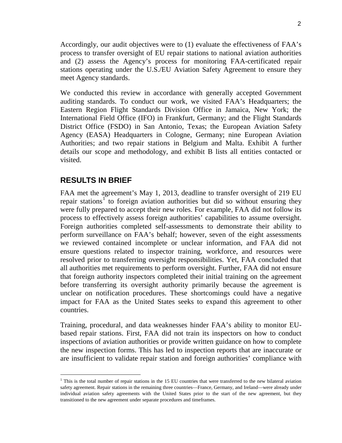Accordingly, our audit objectives were to (1) evaluate the effectiveness of FAA's process to transfer oversight of EU repair stations to national aviation authorities and (2) assess the Agency's process for monitoring FAA-certificated repair stations operating under the U.S./EU Aviation Safety Agreement to ensure they meet Agency standards.

We conducted this review in accordance with generally accepted Government auditing standards. To conduct our work, we visited FAA's Headquarters; the Eastern Region Flight Standards Division Office in Jamaica, New York; the International Field Office (IFO) in Frankfurt, Germany; and the Flight Standards District Office (FSDO) in San Antonio, Texas; the European Aviation Safety Agency (EASA) Headquarters in Cologne, Germany; nine European Aviation Authorities; and two repair stations in Belgium and Malta. Exhibit A further details our scope and methodology, and exhibit B lists all entities contacted or visited.

#### **RESULTS IN BRIEF**

FAA met the agreement's May 1, 2013, deadline to transfer oversight of 219 EU repair stations<sup>[1](#page-2-0)</sup> to foreign aviation authorities but did so without ensuring they were fully prepared to accept their new roles. For example, FAA did not follow its process to effectively assess foreign authorities' capabilities to assume oversight. Foreign authorities completed self-assessments to demonstrate their ability to perform surveillance on FAA's behalf; however, seven of the eight assessments we reviewed contained incomplete or unclear information, and FAA did not ensure questions related to inspector training, workforce, and resources were resolved prior to transferring oversight responsibilities. Yet, FAA concluded that all authorities met requirements to perform oversight. Further, FAA did not ensure that foreign authority inspectors completed their initial training on the agreement before transferring its oversight authority primarily because the agreement is unclear on notification procedures. These shortcomings could have a negative impact for FAA as the United States seeks to expand this agreement to other countries.

Training, procedural, and data weaknesses hinder FAA's ability to monitor EUbased repair stations. First, FAA did not train its inspectors on how to conduct inspections of aviation authorities or provide written guidance on how to complete the new inspection forms. This has led to inspection reports that are inaccurate or are insufficient to validate repair station and foreign authorities' compliance with

<span id="page-2-0"></span> $<sup>1</sup>$  This is the total number of repair stations in the 15 EU countries that were transferred to the new bilateral aviation</sup> safety agreement. Repair stations in the remaining three countries—France, Germany, and Ireland—were already under individual aviation safety agreements with the United States prior to the start of the new agreement, but they transitioned to the new agreement under separate procedures and timeframes.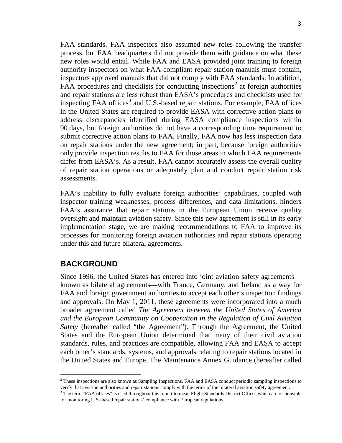FAA standards. FAA inspectors also assumed new roles following the transfer process, but FAA headquarters did not provide them with guidance on what these new roles would entail. While FAA and EASA provided joint training to foreign authority inspectors on what FAA-compliant repair station manuals must contain, inspectors approved manuals that did not comply with FAA standards. In addition, FAA procedures and checklists for conducting inspections<sup>[2](#page-3-0)</sup> at foreign authorities and repair stations are less robust than EASA's procedures and checklists used for inspecting FAA offices<sup>[3](#page-3-1)</sup> and U.S.-based repair stations. For example, FAA offices in the United States are required to provide EASA with corrective action plans to address discrepancies identified during EASA compliance inspections within 90 days, but foreign authorities do not have a corresponding time requirement to submit corrective action plans to FAA. Finally, FAA now has less inspection data on repair stations under the new agreement; in part, because foreign authorities only provide inspection results to FAA for those areas in which FAA requirements differ from EASA's. As a result, FAA cannot accurately assess the overall quality of repair station operations or adequately plan and conduct repair station risk assessments.

FAA's inability to fully evaluate foreign authorities' capabilities, coupled with inspector training weaknesses, process differences, and data limitations, hinders FAA's assurance that repair stations in the European Union receive quality oversight and maintain aviation safety. Since this new agreement is still in its early implementation stage, we are making recommendations to FAA to improve its processes for monitoring foreign aviation authorities and repair stations operating under this and future bilateral agreements.

#### **BACKGROUND**

Since 1996, the United States has entered into joint aviation safety agreements known as bilateral agreements—with France, Germany, and Ireland as a way for FAA and foreign government authorities to accept each other's inspection findings and approvals. On May 1, 2011, these agreements were incorporated into a much broader agreement called *The Agreement between the United States of America and the European Community on Cooperation in the Regulation of Civil Aviation Safety* (hereafter called "the Agreement"). Through the Agreement, the United States and the European Union determined that many of their civil aviation standards, rules, and practices are compatible, allowing FAA and EASA to accept each other's standards, systems, and approvals relating to repair stations located in the United States and Europe. The Maintenance Annex Guidance (hereafter called

<span id="page-3-0"></span><sup>&</sup>lt;sup>2</sup> These inspections are also known as Sampling Inspections. FAA and EASA conduct periodic sampling inspections to verify that aviation authorities and repair stations comply with the terms of the bilateral aviation safety agreement.

<span id="page-3-1"></span><sup>&</sup>lt;sup>3</sup> The term "FAA offices" is used throughout this report to mean Flight Standards District Offices which are responsible for monitoring U.S.-based repair stations' compliance with European regulations.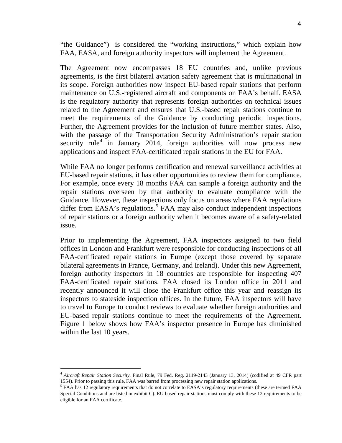"the Guidance") is considered the "working instructions," which explain how FAA, EASA, and foreign authority inspectors will implement the Agreement.

The Agreement now encompasses 18 EU countries and, unlike previous agreements, is the first bilateral aviation safety agreement that is multinational in its scope. Foreign authorities now inspect EU-based repair stations that perform maintenance on U.S.-registered aircraft and components on FAA's behalf. EASA is the regulatory authority that represents foreign authorities on technical issues related to the Agreement and ensures that U.S.-based repair stations continue to meet the requirements of the Guidance by conducting periodic inspections. Further, the Agreement provides for the inclusion of future member states. Also, with the passage of the Transportation Security Administration's repair station security rule<sup>[4](#page-4-0)</sup> in January 2014, foreign authorities will now process new applications and inspect FAA-certificated repair stations in the EU for FAA.

While FAA no longer performs certification and renewal surveillance activities at EU-based repair stations, it has other opportunities to review them for compliance. For example, once every 18 months FAA can sample a foreign authority and the repair stations overseen by that authority to evaluate compliance with the Guidance. However, these inspections only focus on areas where FAA regulations differ from EASA's regulations. [5](#page-4-1) FAA may also conduct independent inspections of repair stations or a foreign authority when it becomes aware of a safety-related issue.

Prior to implementing the Agreement, FAA inspectors assigned to two field offices in London and Frankfurt were responsible for conducting inspections of all FAA-certificated repair stations in Europe (except those covered by separate bilateral agreements in France, Germany, and Ireland). Under this new Agreement, foreign authority inspectors in 18 countries are responsible for inspecting 407 FAA-certificated repair stations. FAA closed its London office in 2011 and recently announced it will close the Frankfurt office this year and reassign its inspectors to stateside inspection offices. In the future, FAA inspectors will have to travel to Europe to conduct reviews to evaluate whether foreign authorities and EU-based repair stations continue to meet the requirements of the Agreement. Figure 1 below shows how FAA's inspector presence in Europe has diminished within the last 10 years.

<span id="page-4-0"></span> <sup>4</sup> *Aircraft Repair Station Security*, Final Rule, 79 Fed. Reg. 2119-2143 (January 13, 2014) (codified at 49 CFR part 1554). Prior to passing this rule, FAA was barred from processing new repair station applications.

<span id="page-4-1"></span><sup>&</sup>lt;sup>5</sup> FAA has 12 regulatory requirements that do not correlate to EASA's regulatory requirements (these are termed FAA Special Conditions and are listed in exhibit C). EU-based repair stations must comply with these 12 requirements to be eligible for an FAA certificate.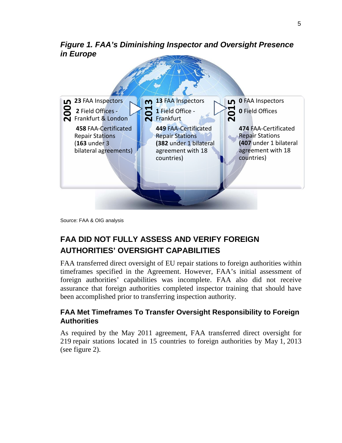#### *Figure 1. FAA's Diminishing Inspector and Oversight Presence in Europe*



Source: FAA & OIG analysis

# **FAA DID NOT FULLY ASSESS AND VERIFY FOREIGN AUTHORITIES' OVERSIGHT CAPABILITIES**

FAA transferred direct oversight of EU repair stations to foreign authorities within timeframes specified in the Agreement. However, FAA's initial assessment of foreign authorities' capabilities was incomplete. FAA also did not receive assurance that foreign authorities completed inspector training that should have been accomplished prior to transferring inspection authority.

#### **FAA Met Timeframes To Transfer Oversight Responsibility to Foreign Authorities**

As required by the May 2011 agreement, FAA transferred direct oversight for 219 repair stations located in 15 countries to foreign authorities by May 1, 2013 (see figure 2).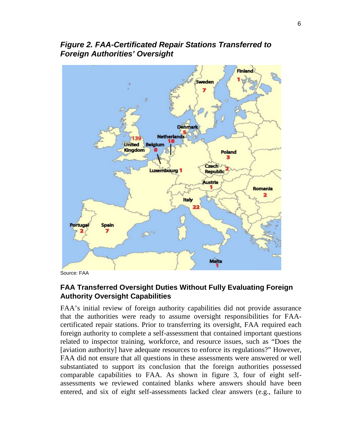

*Figure 2. FAA-Certificated Repair Stations Transferred to Foreign Authorities' Oversight*

Source: FAA

#### **FAA Transferred Oversight Duties Without Fully Evaluating Foreign Authority Oversight Capabilities**

FAA's initial review of foreign authority capabilities did not provide assurance that the authorities were ready to assume oversight responsibilities for FAAcertificated repair stations. Prior to transferring its oversight, FAA required each foreign authority to complete a self-assessment that contained important questions related to inspector training, workforce, and resource issues, such as "Does the [aviation authority] have adequate resources to enforce its regulations?" However, FAA did not ensure that all questions in these assessments were answered or well substantiated to support its conclusion that the foreign authorities possessed comparable capabilities to FAA. As shown in figure 3, four of eight selfassessments we reviewed contained blanks where answers should have been entered, and six of eight self-assessments lacked clear answers (e.g., failure to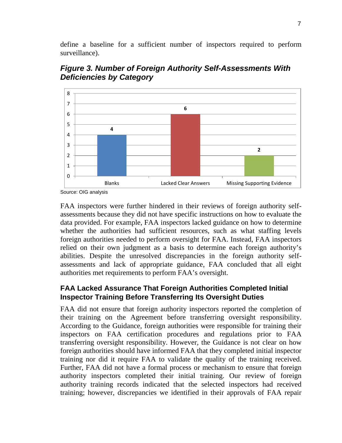define a baseline for a sufficient number of inspectors required to perform surveillance).



*Figure 3. Number of Foreign Authority Self-Assessments With Deficiencies by Category*

FAA inspectors were further hindered in their reviews of foreign authority selfassessments because they did not have specific instructions on how to evaluate the data provided. For example, FAA inspectors lacked guidance on how to determine whether the authorities had sufficient resources, such as what staffing levels foreign authorities needed to perform oversight for FAA. Instead, FAA inspectors relied on their own judgment as a basis to determine each foreign authority's abilities. Despite the unresolved discrepancies in the foreign authority selfassessments and lack of appropriate guidance, FAA concluded that all eight authorities met requirements to perform FAA's oversight.

#### **FAA Lacked Assurance That Foreign Authorities Completed Initial Inspector Training Before Transferring Its Oversight Duties**

FAA did not ensure that foreign authority inspectors reported the completion of their training on the Agreement before transferring oversight responsibility. According to the Guidance, foreign authorities were responsible for training their inspectors on FAA certification procedures and regulations prior to FAA transferring oversight responsibility. However, the Guidance is not clear on how foreign authorities should have informed FAA that they completed initial inspector training nor did it require FAA to validate the quality of the training received. Further, FAA did not have a formal process or mechanism to ensure that foreign authority inspectors completed their initial training. Our review of foreign authority training records indicated that the selected inspectors had received training; however, discrepancies we identified in their approvals of FAA repair

Source: OIG analysis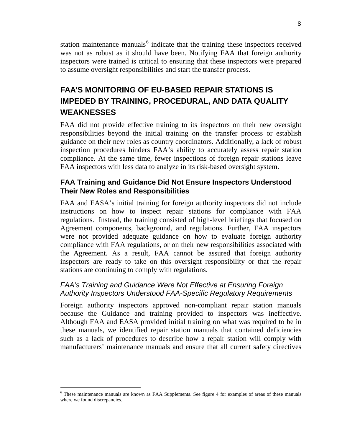station maintenance manuals<sup>[6](#page-8-0)</sup> indicate that the training these inspectors received was not as robust as it should have been. Notifying FAA that foreign authority inspectors were trained is critical to ensuring that these inspectors were prepared to assume oversight responsibilities and start the transfer process.

# **FAA'S MONITORING OF EU-BASED REPAIR STATIONS IS IMPEDED BY TRAINING, PROCEDURAL, AND DATA QUALITY WEAKNESSES**

FAA did not provide effective training to its inspectors on their new oversight responsibilities beyond the initial training on the transfer process or establish guidance on their new roles as country coordinators. Additionally, a lack of robust inspection procedures hinders FAA's ability to accurately assess repair station compliance. At the same time, fewer inspections of foreign repair stations leave FAA inspectors with less data to analyze in its risk-based oversight system.

#### **FAA Training and Guidance Did Not Ensure Inspectors Understood Their New Roles and Responsibilities**

FAA and EASA's initial training for foreign authority inspectors did not include instructions on how to inspect repair stations for compliance with FAA regulations. Instead, the training consisted of high-level briefings that focused on Agreement components, background, and regulations. Further, FAA inspectors were not provided adequate guidance on how to evaluate foreign authority compliance with FAA regulations, or on their new responsibilities associated with the Agreement. As a result, FAA cannot be assured that foreign authority inspectors are ready to take on this oversight responsibility or that the repair stations are continuing to comply with regulations.

#### *FAA's Training and Guidance Were Not Effective at Ensuring Foreign Authority Inspectors Understood FAA-Specific Regulatory Requirements*

Foreign authority inspectors approved non-compliant repair station manuals because the Guidance and training provided to inspectors was ineffective. Although FAA and EASA provided initial training on what was required to be in these manuals, we identified repair station manuals that contained deficiencies such as a lack of procedures to describe how a repair station will comply with manufacturers' maintenance manuals and ensure that all current safety directives

<span id="page-8-0"></span> <sup>6</sup> These maintenance manuals are known as FAA Supplements. See figure 4 for examples of areas of these manuals where we found discrepancies.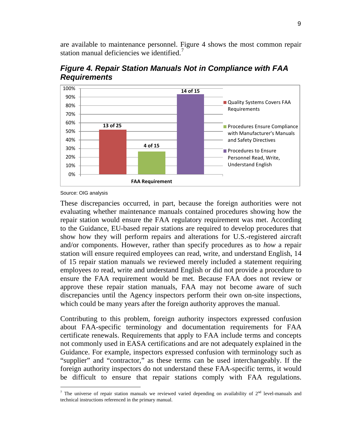are available to maintenance personnel. Figure 4 shows the most common repair station manual deficiencies we identified.<sup>[7](#page-9-0)</sup>



*Figure 4. Repair Station Manuals Not in Compliance with FAA Requirements*

Source: OIG analysis

These discrepancies occurred, in part, because the foreign authorities were not evaluating whether maintenance manuals contained procedures showing how the repair station would ensure the FAA regulatory requirement was met. According to the Guidance, EU-based repair stations are required to develop procedures that show how they will perform repairs and alterations for U.S.-registered aircraft and/or components. However, rather than specify procedures as to *how* a repair station will ensure required employees can read, write, and understand English, 14 of 15 repair station manuals we reviewed merely included a statement requiring employees *to* read, write and understand English or did not provide a procedure to ensure the FAA requirement would be met. Because FAA does not review or approve these repair station manuals, FAA may not become aware of such discrepancies until the Agency inspectors perform their own on-site inspections, which could be many years after the foreign authority approves the manual.

Contributing to this problem, foreign authority inspectors expressed confusion about FAA-specific terminology and documentation requirements for FAA certificate renewals. Requirements that apply to FAA include terms and concepts not commonly used in EASA certifications and are not adequately explained in the Guidance. For example, inspectors expressed confusion with terminology such as "supplier" and "contractor," as these terms can be used interchangeably. If the foreign authority inspectors do not understand these FAA-specific terms, it would be difficult to ensure that repair stations comply with FAA regulations.

<span id="page-9-0"></span><sup>&</sup>lt;sup>7</sup> The universe of repair station manuals we reviewed varied depending on availability of  $2<sup>nd</sup>$  level-manuals and technical instructions referenced in the primary manual.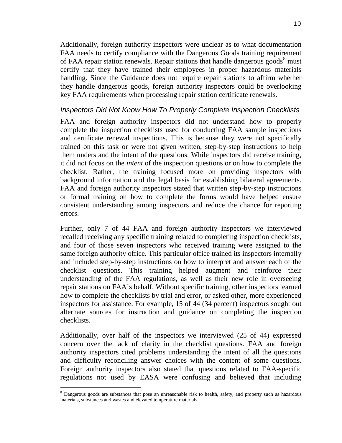Additionally, foreign authority inspectors were unclear as to what documentation FAA needs to certify compliance with the Dangerous Goods training requirement of FAA repair station renewals. Repair stations that handle dangerous goods<sup>[8](#page-10-0)</sup> must certify that they have trained their employees in proper hazardous materials handling. Since the Guidance does not require repair stations to affirm whether they handle dangerous goods, foreign authority inspectors could be overlooking key FAA requirements when processing repair station certificate renewals.

#### *Inspectors Did Not Know How To Properly Complete Inspection Checklists*

FAA and foreign authority inspectors did not understand how to properly complete the inspection checklists used for conducting FAA sample inspections and certificate renewal inspections. This is because they were not specifically trained on this task or were not given written, step-by-step instructions to help them understand the intent of the questions. While inspectors did receive training, it did not focus on the *intent* of the inspection questions or on how to complete the checklist. Rather, the training focused more on providing inspectors with background information and the legal basis for establishing bilateral agreements. FAA and foreign authority inspectors stated that written step-by-step instructions or formal training on how to complete the forms would have helped ensure consistent understanding among inspectors and reduce the chance for reporting errors.

Further, only 7 of 44 FAA and foreign authority inspectors we interviewed recalled receiving any specific training related to completing inspection checklists, and four of those seven inspectors who received training were assigned to the same foreign authority office. This particular office trained its inspectors internally and included step-by-step instructions on how to interpret and answer each of the checklist questions. This training helped augment and reinforce their understanding of the FAA regulations, as well as their new role in overseeing repair stations on FAA's behalf. Without specific training, other inspectors learned how to complete the checklists by trial and error, or asked other, more experienced inspectors for assistance. For example, 15 of 44 (34 percent) inspectors sought out alternate sources for instruction and guidance on completing the inspection checklists.

Additionally, over half of the inspectors we interviewed (25 of 44) expressed concern over the lack of clarity in the checklist questions. FAA and foreign authority inspectors cited problems understanding the intent of all the questions and difficulty reconciling answer choices with the content of some questions. Foreign authority inspectors also stated that questions related to FAA-specific regulations not used by EASA were confusing and believed that including

<span id="page-10-0"></span><sup>&</sup>lt;sup>8</sup> Dangerous goods are substances that pose an unreasonable risk to health, safety, and property such as hazardous materials, substances and wastes and elevated temperature materials.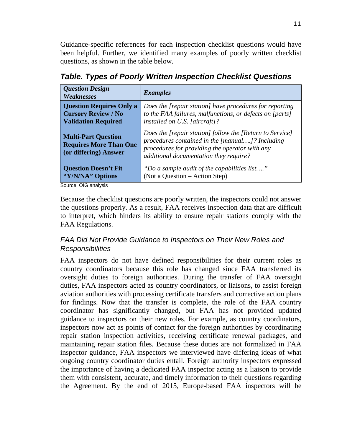Guidance-specific references for each inspection checklist questions would have been helpful. Further, we identified many examples of poorly written checklist questions, as shown in the table below.

| <b>Question Design</b><br>Weaknesses                                                        | <b>Examples</b>                                                                                                                                                                                         |
|---------------------------------------------------------------------------------------------|---------------------------------------------------------------------------------------------------------------------------------------------------------------------------------------------------------|
| <b>Question Requires Only a</b><br><b>Cursory Review / No</b><br><b>Validation Required</b> | Does the [repair station] have procedures for reporting<br>to the FAA failures, malfunctions, or defects on [parts]<br>installed on U.S. [aircraft]?                                                    |
| <b>Multi-Part Question</b><br><b>Requires More Than One</b><br>(or differing) Answer        | Does the [repair station] follow the [Return to Service]<br>procedures contained in the [manual]? Including<br>procedures for providing the operator with any<br>additional documentation they require? |
| <b>Question Doesn't Fit</b><br>"Y/N/NA" Options<br>$\sim$ $\sim$ $\sim$ $\sim$ $\sim$       | "Do a sample audit of the capabilities list"<br>(Not a Question – Action Step)                                                                                                                          |

*Table. Types of Poorly Written Inspection Checklist Questions*

Source: OIG analysis

Because the checklist questions are poorly written, the inspectors could not answer the questions properly. As a result, FAA receives inspection data that are difficult to interpret, which hinders its ability to ensure repair stations comply with the FAA Regulations.

#### *FAA Did Not Provide Guidance to Inspectors on Their New Roles and Responsibilities*

FAA inspectors do not have defined responsibilities for their current roles as country coordinators because this role has changed since FAA transferred its oversight duties to foreign authorities. During the transfer of FAA oversight duties, FAA inspectors acted as country coordinators, or liaisons, to assist foreign aviation authorities with processing certificate transfers and corrective action plans for findings. Now that the transfer is complete, the role of the FAA country coordinator has significantly changed, but FAA has not provided updated guidance to inspectors on their new roles. For example, as country coordinators, inspectors now act as points of contact for the foreign authorities by coordinating repair station inspection activities, receiving certificate renewal packages, and maintaining repair station files. Because these duties are not formalized in FAA inspector guidance, FAA inspectors we interviewed have differing ideas of what ongoing country coordinator duties entail. Foreign authority inspectors expressed the importance of having a dedicated FAA inspector acting as a liaison to provide them with consistent, accurate, and timely information to their questions regarding the Agreement. By the end of 2015, Europe-based FAA inspectors will be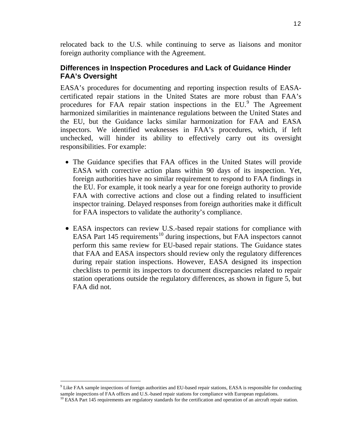relocated back to the U.S. while continuing to serve as liaisons and monitor foreign authority compliance with the Agreement.

#### **Differences in Inspection Procedures and Lack of Guidance Hinder FAA's Oversight**

EASA's procedures for documenting and reporting inspection results of EASAcertificated repair stations in the United States are more robust than FAA's procedures for FAA repair station inspections in the EU.<sup>[9](#page-12-0)</sup> The Agreement harmonized similarities in maintenance regulations between the United States and the EU, but the Guidance lacks similar harmonization for FAA and EASA inspectors. We identified weaknesses in FAA's procedures, which, if left unchecked, will hinder its ability to effectively carry out its oversight responsibilities. For example:

- The Guidance specifies that FAA offices in the United States will provide EASA with corrective action plans within 90 days of its inspection. Yet, foreign authorities have no similar requirement to respond to FAA findings in the EU. For example, it took nearly a year for one foreign authority to provide FAA with corrective actions and close out a finding related to insufficient inspector training. Delayed responses from foreign authorities make it difficult for FAA inspectors to validate the authority's compliance.
- EASA inspectors can review U.S.-based repair stations for compliance with EASA Part 145 requirements<sup>[10](#page-12-1)</sup> during inspections, but FAA inspectors cannot perform this same review for EU-based repair stations. The Guidance states that FAA and EASA inspectors should review only the regulatory differences during repair station inspections. However, EASA designed its inspection checklists to permit its inspectors to document discrepancies related to repair station operations outside the regulatory differences, as shown in figure 5, but FAA did not.

<span id="page-12-1"></span><span id="page-12-0"></span><sup>&</sup>lt;sup>9</sup> Like FAA sample inspections of foreign authorities and EU-based repair stations, EASA is responsible for conducting sample inspections of FAA offices and U.S.-based repair stations for compliance with European regulations.<br><sup>10</sup> EASA Part 145 requirements are regulatory standards for the certification and operation of an aircraft repair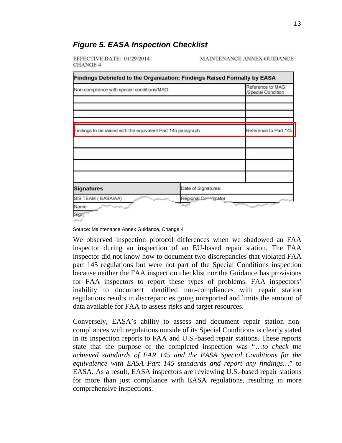

#### *Figure 5. EASA Inspection Checklist*

EFFECTIVE DATE: 01/29/2014 **CHANGE 4** 

MAINTENANCE ANNEX GUIDANCE

Source: Maintenance Annex Guidance, Change 4

We observed inspection protocol differences when we shadowed an FAA inspector during an inspection of an EU-based repair station. The FAA inspector did not know how to document two discrepancies that violated FAA part 145 regulations but were not part of the Special Conditions inspection because neither the FAA inspection checklist nor the Guidance has provisions for FAA inspectors to report these types of problems. FAA inspectors' inability to document identified non-compliances with repair station regulations results in discrepancies going unreported and limits the amount of data available for FAA to assess risks and target resources.

Conversely, EASA's ability to assess and document repair station noncompliances with regulations outside of its Special Conditions is clearly stated in its inspection reports to FAA and U.S.-based repair stations. These reports state that the purpose of the completed inspection was "…*to check the achieved standards of FAR 145 and the EASA Special Conditions for the equivalence with EASA Part 145 standards and report any findings…*" to EASA. As a result, EASA inspectors are reviewing U.S.-based repair stations for more than just compliance with EASA regulations, resulting in more comprehensive inspections.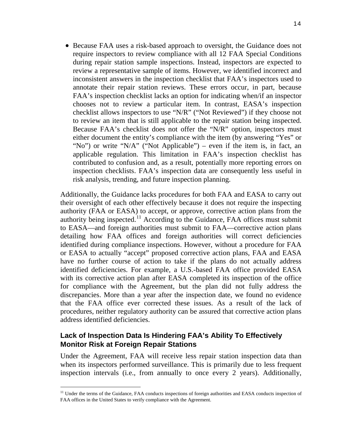• Because FAA uses a risk-based approach to oversight, the Guidance does not require inspectors to review compliance with all 12 FAA Special Conditions during repair station sample inspections. Instead, inspectors are expected to review a representative sample of items. However, we identified incorrect and inconsistent answers in the inspection checklist that FAA's inspectors used to annotate their repair station reviews. These errors occur, in part, because FAA's inspection checklist lacks an option for indicating when/if an inspector chooses not to review a particular item. In contrast, EASA's inspection checklist allows inspectors to use "N/R" ("Not Reviewed") if they choose not to review an item that is still applicable to the repair station being inspected. Because FAA's checklist does not offer the "N/R" option, inspectors must either document the entity's compliance with the item (by answering "Yes" or "No") or write "N/A" ("Not Applicable") – even if the item is, in fact, an applicable regulation. This limitation in FAA's inspection checklist has contributed to confusion and, as a result, potentially more reporting errors on inspection checklists. FAA's inspection data are consequently less useful in risk analysis, trending, and future inspection planning.

Additionally, the Guidance lacks procedures for both FAA and EASA to carry out their oversight of each other effectively because it does not require the inspecting authority (FAA or EASA) to accept, or approve, corrective action plans from the authority being inspected.<sup>[11](#page-14-0)</sup> According to the Guidance, FAA offices must submit to EASA—and foreign authorities must submit to FAA—corrective action plans detailing how FAA offices and foreign authorities will correct deficiencies identified during compliance inspections. However, without a procedure for FAA or EASA to actually "accept" proposed corrective action plans, FAA and EASA have no further course of action to take if the plans do not actually address identified deficiencies. For example, a U.S.-based FAA office provided EASA with its corrective action plan after EASA completed its inspection of the office for compliance with the Agreement, but the plan did not fully address the discrepancies. More than a year after the inspection date, we found no evidence that the FAA office ever corrected these issues. As a result of the lack of procedures, neither regulatory authority can be assured that corrective action plans address identified deficiencies.

#### **Lack of Inspection Data Is Hindering FAA's Ability To Effectively Monitor Risk at Foreign Repair Stations**

Under the Agreement, FAA will receive less repair station inspection data than when its inspectors performed surveillance. This is primarily due to less frequent inspection intervals (i.e., from annually to once every 2 years). Additionally,

<span id="page-14-0"></span> $11$  Under the terms of the Guidance, FAA conducts inspections of foreign authorities and EASA conducts inspection of FAA offices in the United States to verify compliance with the Agreement.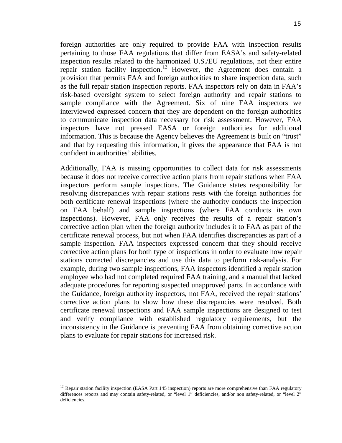foreign authorities are only required to provide FAA with inspection results pertaining to those FAA regulations that differ from EASA's and safety-related inspection results related to the harmonized U.S./EU regulations, not their entire repair station facility inspection.<sup>[12](#page-15-0)</sup> However, the Agreement does contain a provision that permits FAA and foreign authorities to share inspection data, such as the full repair station inspection reports. FAA inspectors rely on data in FAA's risk-based oversight system to select foreign authority and repair stations to sample compliance with the Agreement. Six of nine FAA inspectors we interviewed expressed concern that they are dependent on the foreign authorities to communicate inspection data necessary for risk assessment. However, FAA inspectors have not pressed EASA or foreign authorities for additional information. This is because the Agency believes the Agreement is built on "trust" and that by requesting this information, it gives the appearance that FAA is not confident in authorities' abilities.

Additionally, FAA is missing opportunities to collect data for risk assessments because it does not receive corrective action plans from repair stations when FAA inspectors perform sample inspections. The Guidance states responsibility for resolving discrepancies with repair stations rests with the foreign authorities for both certificate renewal inspections (where the authority conducts the inspection on FAA behalf) and sample inspections (where FAA conducts its own inspections). However, FAA only receives the results of a repair station's corrective action plan when the foreign authority includes it to FAA as part of the certificate renewal process, but not when FAA identifies discrepancies as part of a sample inspection. FAA inspectors expressed concern that they should receive corrective action plans for both type of inspections in order to evaluate how repair stations corrected discrepancies and use this data to perform risk-analysis. For example, during two sample inspections, FAA inspectors identified a repair station employee who had not completed required FAA training, and a manual that lacked adequate procedures for reporting suspected unapproved parts. In accordance with the Guidance, foreign authority inspectors, not FAA, received the repair stations' corrective action plans to show how these discrepancies were resolved. Both certificate renewal inspections and FAA sample inspections are designed to test and verify compliance with established regulatory requirements, but the inconsistency in the Guidance is preventing FAA from obtaining corrective action plans to evaluate for repair stations for increased risk.

<span id="page-15-0"></span><sup>&</sup>lt;sup>12</sup> Repair station facility inspection (EASA Part 145 inspection) reports are more comprehensive than FAA regulatory differences reports and may contain safety-related, or "level 1" deficiencies, and/or non safety-related, or "level 2" deficiencies.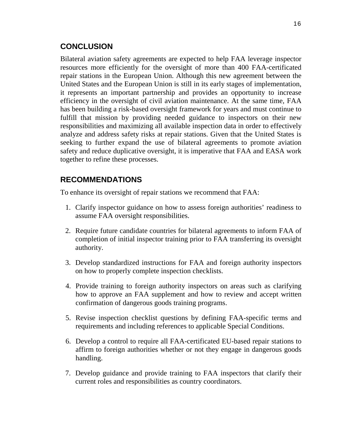#### **CONCLUSION**

Bilateral aviation safety agreements are expected to help FAA leverage inspector resources more efficiently for the oversight of more than 400 FAA-certificated repair stations in the European Union. Although this new agreement between the United States and the European Union is still in its early stages of implementation, it represents an important partnership and provides an opportunity to increase efficiency in the oversight of civil aviation maintenance. At the same time, FAA has been building a risk-based oversight framework for years and must continue to fulfill that mission by providing needed guidance to inspectors on their new responsibilities and maximizing all available inspection data in order to effectively analyze and address safety risks at repair stations. Given that the United States is seeking to further expand the use of bilateral agreements to promote aviation safety and reduce duplicative oversight, it is imperative that FAA and EASA work together to refine these processes.

#### **RECOMMENDATIONS**

To enhance its oversight of repair stations we recommend that FAA:

- 1. Clarify inspector guidance on how to assess foreign authorities' readiness to assume FAA oversight responsibilities.
- 2. Require future candidate countries for bilateral agreements to inform FAA of completion of initial inspector training prior to FAA transferring its oversight authority.
- 3. Develop standardized instructions for FAA and foreign authority inspectors on how to properly complete inspection checklists.
- 4. Provide training to foreign authority inspectors on areas such as clarifying how to approve an FAA supplement and how to review and accept written confirmation of dangerous goods training programs.
- 5. Revise inspection checklist questions by defining FAA-specific terms and requirements and including references to applicable Special Conditions.
- 6. Develop a control to require all FAA-certificated EU-based repair stations to affirm to foreign authorities whether or not they engage in dangerous goods handling.
- 7. Develop guidance and provide training to FAA inspectors that clarify their current roles and responsibilities as country coordinators.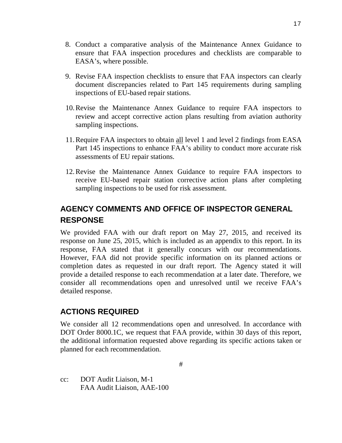- 8. Conduct a comparative analysis of the Maintenance Annex Guidance to ensure that FAA inspection procedures and checklists are comparable to EASA's, where possible.
- 9. Revise FAA inspection checklists to ensure that FAA inspectors can clearly document discrepancies related to Part 145 requirements during sampling inspections of EU-based repair stations.
- 10.Revise the Maintenance Annex Guidance to require FAA inspectors to review and accept corrective action plans resulting from aviation authority sampling inspections.
- 11.Require FAA inspectors to obtain all level 1 and level 2 findings from EASA Part 145 inspections to enhance FAA's ability to conduct more accurate risk assessments of EU repair stations.
- 12.Revise the Maintenance Annex Guidance to require FAA inspectors to receive EU-based repair station corrective action plans after completing sampling inspections to be used for risk assessment.

## **AGENCY COMMENTS AND OFFICE OF INSPECTOR GENERAL RESPONSE**

We provided FAA with our draft report on May 27, 2015, and received its response on June 25, 2015, which is included as an appendix to this report. In its response, FAA stated that it generally concurs with our recommendations. However, FAA did not provide specific information on its planned actions or completion dates as requested in our draft report. The Agency stated it will provide a detailed response to each recommendation at a later date. Therefore, we consider all recommendations open and unresolved until we receive FAA's detailed response.

#### **ACTIONS REQUIRED**

We consider all 12 recommendations open and unresolved. In accordance with DOT Order 8000.1C, we request that FAA provide, within 30 days of this report, the additional information requested above regarding its specific actions taken or planned for each recommendation.

cc: DOT Audit Liaison, M-1 FAA Audit Liaison, AAE-100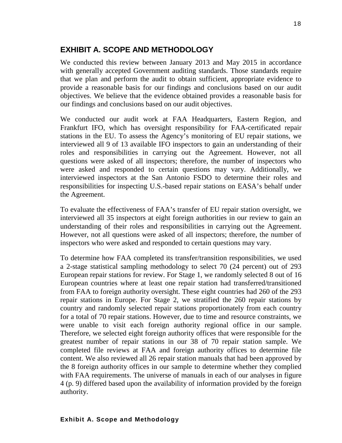#### **EXHIBIT A. SCOPE AND METHODOLOGY**

We conducted this review between January 2013 and May 2015 in accordance with generally accepted Government auditing standards. Those standards require that we plan and perform the audit to obtain sufficient, appropriate evidence to provide a reasonable basis for our findings and conclusions based on our audit objectives. We believe that the evidence obtained provides a reasonable basis for our findings and conclusions based on our audit objectives.

We conducted our audit work at FAA Headquarters, Eastern Region, and Frankfurt IFO, which has oversight responsibility for FAA-certificated repair stations in the EU. To assess the Agency's monitoring of EU repair stations, we interviewed all 9 of 13 available IFO inspectors to gain an understanding of their roles and responsibilities in carrying out the Agreement. However, not all questions were asked of all inspectors; therefore, the number of inspectors who were asked and responded to certain questions may vary. Additionally, we interviewed inspectors at the San Antonio FSDO to determine their roles and responsibilities for inspecting U.S.-based repair stations on EASA's behalf under the Agreement.

To evaluate the effectiveness of FAA's transfer of EU repair station oversight, we interviewed all 35 inspectors at eight foreign authorities in our review to gain an understanding of their roles and responsibilities in carrying out the Agreement. However, not all questions were asked of all inspectors; therefore, the number of inspectors who were asked and responded to certain questions may vary.

To determine how FAA completed its transfer/transition responsibilities, we used a 2-stage statistical sampling methodology to select 70 (24 percent) out of 293 European repair stations for review. For Stage 1, we randomly selected 8 out of 16 European countries where at least one repair station had transferred/transitioned from FAA to foreign authority oversight. These eight countries had 260 of the 293 repair stations in Europe. For Stage 2, we stratified the 260 repair stations by country and randomly selected repair stations proportionately from each country for a total of 70 repair stations. However, due to time and resource constraints, we were unable to visit each foreign authority regional office in our sample. Therefore, we selected eight foreign authority offices that were responsible for the greatest number of repair stations in our 38 of 70 repair station sample. We completed file reviews at FAA and foreign authority offices to determine file content. We also reviewed all 26 repair station manuals that had been approved by the 8 foreign authority offices in our sample to determine whether they complied with FAA requirements. The universe of manuals in each of our analyses in figure 4 (p. 9) differed based upon the availability of information provided by the foreign authority.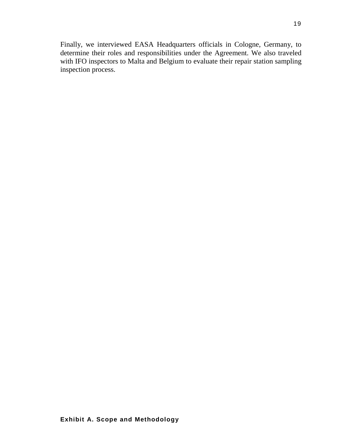Finally, we interviewed EASA Headquarters officials in Cologne, Germany, to determine their roles and responsibilities under the Agreement. We also traveled with IFO inspectors to Malta and Belgium to evaluate their repair station sampling inspection process.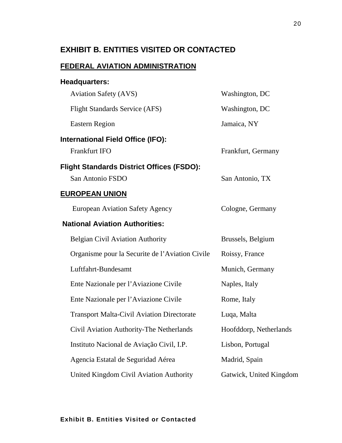### **EXHIBIT B. ENTITIES VISITED OR CONTACTED**

#### **FEDERAL AVIATION ADMINISTRATION**

| <b>Headquarters:</b>                              |                         |
|---------------------------------------------------|-------------------------|
| <b>Aviation Safety (AVS)</b>                      | Washington, DC          |
| <b>Flight Standards Service (AFS)</b>             | Washington, DC          |
| <b>Eastern Region</b>                             | Jamaica, NY             |
| <b>International Field Office (IFO):</b>          |                         |
| <b>Frankfurt IFO</b>                              | Frankfurt, Germany      |
| <b>Flight Standards District Offices (FSDO):</b>  |                         |
| San Antonio FSDO                                  | San Antonio, TX         |
| <b>EUROPEAN UNION</b>                             |                         |
| <b>European Aviation Safety Agency</b>            | Cologne, Germany        |
| <b>National Aviation Authorities:</b>             |                         |
| <b>Belgian Civil Aviation Authority</b>           | Brussels, Belgium       |
| Organisme pour la Securite de l'Aviation Civile   | Roissy, France          |
| Luftfahrt-Bundesamt                               | Munich, Germany         |
| Ente Nazionale per l'Aviazione Civile             | Naples, Italy           |
| Ente Nazionale per l'Aviazione Civile             | Rome, Italy             |
| <b>Transport Malta-Civil Aviation Directorate</b> | Luqa, Malta             |
| Civil Aviation Authority-The Netherlands          | Hoofddorp, Netherlands  |
| Instituto Nacional de Aviação Civil, I.P.         | Lisbon, Portugal        |
| Agencia Estatal de Seguridad Aérea                | Madrid, Spain           |
| United Kingdom Civil Aviation Authority           | Gatwick, United Kingdom |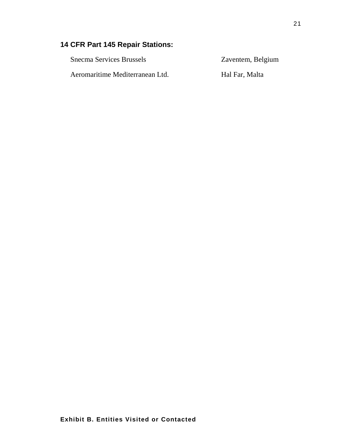### **14 CFR Part 145 Repair Stations:**

Snecma Services Brussels Zaventem, Belgium Aeromaritime Mediterranean Ltd. Hal Far, Malta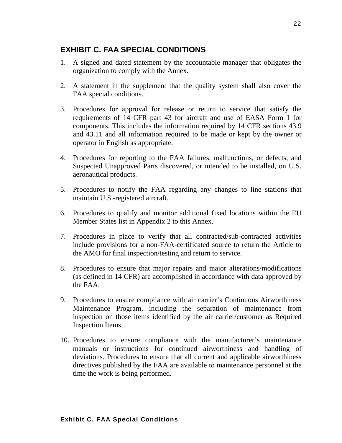#### **EXHIBIT C. FAA SPECIAL CONDITIONS**

- 1. A signed and dated statement by the accountable manager that obligates the organization to comply with the Annex.
- 2. A statement in the supplement that the quality system shall also cover the FAA special conditions.
- 3. Procedures for approval for release or return to service that satisfy the requirements of 14 CFR part 43 for aircraft and use of EASA Form 1 for components. This includes the information required by 14 CFR sections 43.9 and 43.11 and all information required to be made or kept by the owner or operator in English as appropriate.
- 4. Procedures for reporting to the FAA failures, malfunctions, or defects, and Suspected Unapproved Parts discovered, or intended to be installed, on U.S. aeronautical products.
- 5. Procedures to notify the FAA regarding any changes to line stations that maintain U.S.-registered aircraft.
- 6. Procedures to qualify and monitor additional fixed locations within the EU Member States list in Appendix 2 to this Annex.
- 7. Procedures in place to verify that all contracted/sub-contracted activities include provisions for a non-FAA-certificated source to return the Article to the AMO for final inspection/testing and return to service.
- 8. Procedures to ensure that major repairs and major alterations/modifications (as defined in 14 CFR) are accomplished in accordance with data approved by the FAA.
- 9. Procedures to ensure compliance with air carrier's Continuous Airworthiness Maintenance Program, including the separation of maintenance from inspection on those items identified by the air carrier/customer as Required Inspection Items.
- 10. Procedures to ensure compliance with the manufacturer's maintenance manuals or instructions for continued airworthiness and handling of deviations. Procedures to ensure that all current and applicable airworthiness directives published by the FAA are available to maintenance personnel at the time the work is being performed.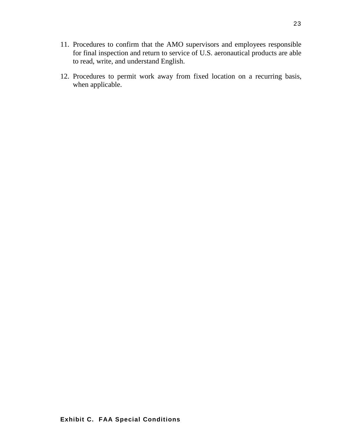- 11. Procedures to confirm that the AMO supervisors and employees responsible for final inspection and return to service of U.S. aeronautical products are able to read, write, and understand English.
- 12. Procedures to permit work away from fixed location on a recurring basis, when applicable.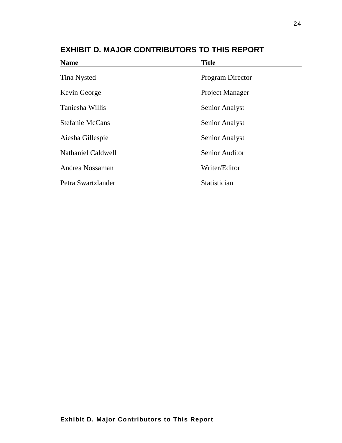| <b>Name</b>               | <b>Title</b>            |
|---------------------------|-------------------------|
| Tina Nysted               | <b>Program Director</b> |
| Kevin George              | <b>Project Manager</b>  |
| Taniesha Willis           | Senior Analyst          |
| <b>Stefanie McCans</b>    | Senior Analyst          |
| Aiesha Gillespie          | Senior Analyst          |
| <b>Nathaniel Caldwell</b> | <b>Senior Auditor</b>   |
| Andrea Nossaman           | Writer/Editor           |
| Petra Swartzlander        | Statistician            |

**EXHIBIT D. MAJOR CONTRIBUTORS TO THIS REPORT**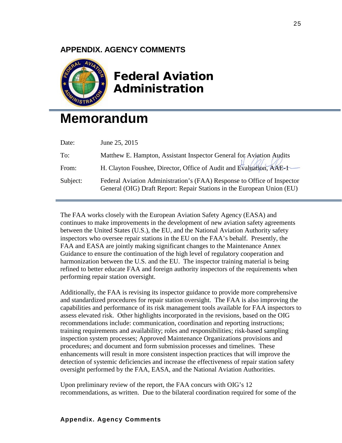#### **APPENDIX. AGENCY COMMENTS**



# Federal Aviation Administration

# **Memorandum**

| Date:    | June 25, 2015                                                                                                                                     |
|----------|---------------------------------------------------------------------------------------------------------------------------------------------------|
| To:      | Matthew E. Hampton, Assistant Inspector General for Aviation Audits                                                                               |
| From:    | H. Clayton Foushee, Director, Office of Audit and Evaluation, AAE-1                                                                               |
| Subject: | Federal Aviation Administration's (FAA) Response to Office of Inspector<br>General (OIG) Draft Report: Repair Stations in the European Union (EU) |

The FAA works closely with the European Aviation Safety Agency (EASA) and continues to make improvements in the development of new aviation safety agreements between the United States (U.S.), the EU, and the National Aviation Authority safety inspectors who oversee repair stations in the EU on the FAA's behalf. Presently, the FAA and EASA are jointly making significant changes to the Maintenance Annex Guidance to ensure the continuation of the high level of regulatory cooperation and harmonization between the U.S. and the EU. The inspector training material is being refined to better educate FAA and foreign authority inspectors of the requirements when performing repair station oversight.

Additionally, the FAA is revising its inspector guidance to provide more comprehensive and standardized procedures for repair station oversight. The FAA is also improving the capabilities and performance of its risk management tools available for FAA inspectors to assess elevated risk. Other highlights incorporated in the revisions, based on the OIG recommendations include: communication, coordination and reporting instructions; training requirements and availability; roles and responsibilities; risk-based sampling inspection system processes; Approved Maintenance Organizations provisions and procedures; and document and form submission processes and timelines. These enhancements will result in more consistent inspection practices that will improve the detection of systemic deficiencies and increase the effectiveness of repair station safety oversight performed by the FAA, EASA, and the National Aviation Authorities.

Upon preliminary review of the report, the FAA concurs with OIG's 12 recommendations, as written. Due to the bilateral coordination required for some of the

#### **Appendix. Agency Comments**